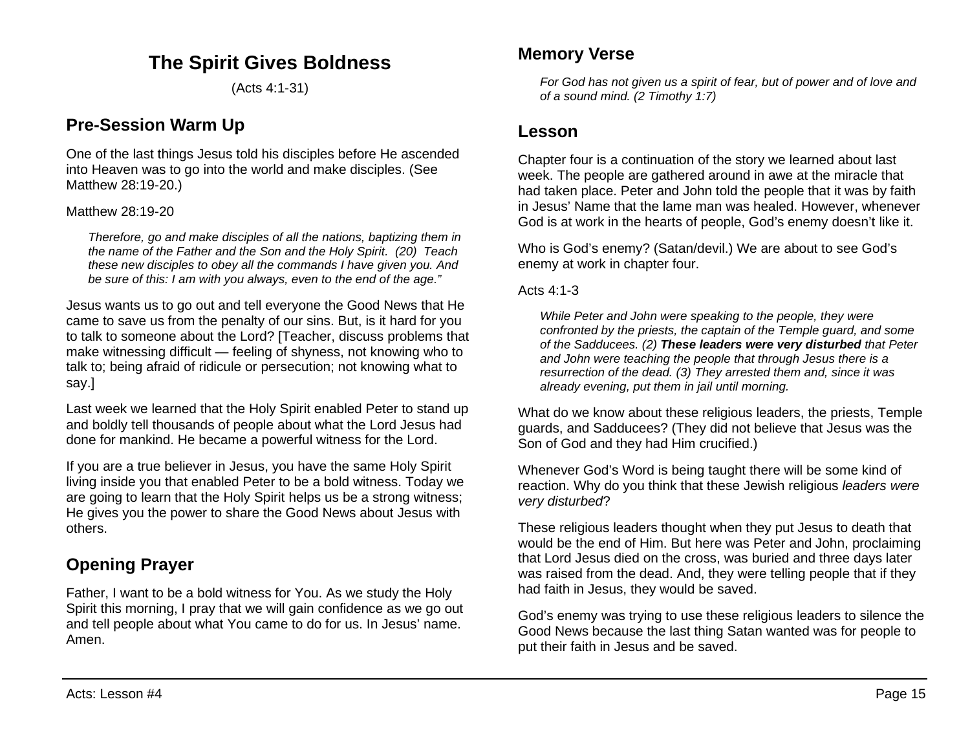## **The Spirit Gives Boldness**

(Acts 4:1-31)

### **Pre-Session Warm Up**

One of the last things Jesus told his disciples before He ascended into Heaven was to go into the world and make disciples. (See Matthew 28:19-20.)

Matthew 28:19-20

*Therefore, go and make disciples of all the nations, baptizing them in the name of the Father and the Son and the Holy Spirit. (20) Teach these new disciples to obey all the commands I have given you. And be sure of this: I am with you always, even to the end of the age."*

Jesus wants us to go out and tell everyone the Good News that He came to save us from the penalty of our sins. But, is it hard for you to talk to someone about the Lord? [Teacher, discuss problems that make witnessing difficult — feeling of shyness, not knowing who to talk to; being afraid of ridicule or persecution; not knowing what to say.]

Last week we learned that the Holy Spirit enabled Peter to stand up and boldly tell thousands of people about what the Lord Jesus had done for mankind. He became a powerful witness for the Lord.

If you are a true believer in Jesus, you have the same Holy Spirit living inside you that enabled Peter to be a bold witness. Today we are going to learn that the Holy Spirit helps us be a strong witness; He gives you the power to share the Good News about Jesus with others.

# **Opening Prayer**

Father, I want to be a bold witness for You. As we study the Holy Spirit this morning, I pray that we will gain confidence as we go out and tell people about what You came to do for us. In Jesus' name. Amen.

### **Memory Verse**

*For God has not given us a spirit of fear, but of power and of love and of a sound mind. (2 Timothy 1:7)*

### **Lesson**

Chapter four is a continuation of the story we learned about last week. The people are gathered around in awe at the miracle that had taken place. Peter and John told the people that it was by faith in Jesus' Name that the lame man was healed. However, whenever God is at work in the hearts of people, God's enemy doesn't like it.

Who is God's enemy? (Satan/devil.) We are about to see God's enemy at work in chapter four.

Acts  $4.1-3$ 

*While Peter and John were speaking to the people, they were confronted by the priests, the captain of the Temple guard, and some of the Sadducees. (2) These leaders were very disturbed that Peter and John were teaching the people that through Jesus there is a resurrection of the dead. (3) They arrested them and, since it was already evening, put them in jail until morning.*

What do we know about these religious leaders, the priests, Temple guards, and Sadducees? (They did not believe that Jesus was the Son of God and they had Him crucified.)

Whenever God's Word is being taught there will be some kind of reaction. Why do you think that these Jewish religious *leaders were very disturbed*?

These religious leaders thought when they put Jesus to death that would be the end of Him. But here was Peter and John, proclaiming that Lord Jesus died on the cross, was buried and three days later was raised from the dead. And, they were telling people that if they had faith in Jesus, they would be saved.

God's enemy was trying to use these religious leaders to silence the Good News because the last thing Satan wanted was for people to put their faith in Jesus and be saved.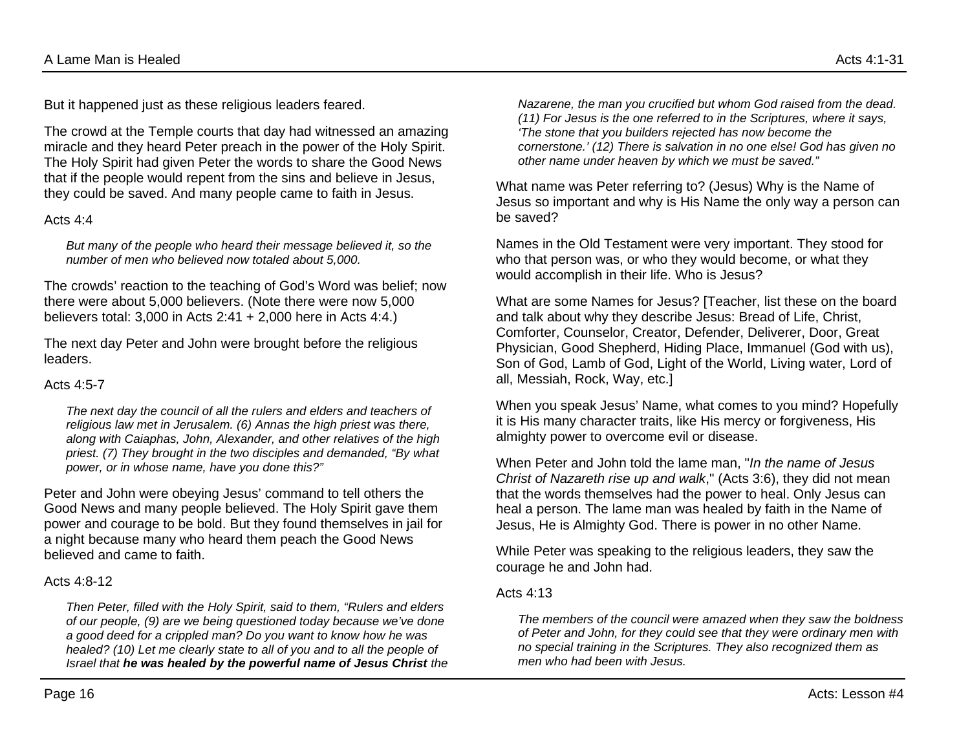But it happened just as these religious leaders feared.

The crowd at the Temple courts that day had witnessed an amazing miracle and they heard Peter preach in the power of the Holy Spirit. The Holy Spirit had given Peter the words to share the Good News that if the people would repent from the sins and believe in Jesus, they could be saved. And many people came to faith in Jesus.

#### Acts 4:4

*But many of the people who heard their message believed it, so the number of men who believed now totaled about 5,000.*

The crowds' reaction to the teaching of God's Word was belief; now there were about 5,000 believers. (Note there were now 5,000 believers total: 3,000 in Acts 2:41 + 2,000 here in Acts 4:4.)

The next day Peter and John were brought before the religious leaders.

#### Acts 4:5-7

*The next day the council of all the rulers and elders and teachers of religious law met in Jerusalem. (6) Annas the high priest was there, along with Caiaphas, John, Alexander, and other relatives of the high priest. (7) They brought in the two disciples and demanded, "By what power, or in whose name, have you done this?"*

Peter and John were obeying Jesus' command to tell others the Good News and many people believed. The Holy Spirit gave them power and courage to be bold. But they found themselves in jail for a night because many who heard them peach the Good News believed and came to faith.

#### Acts 4:8-12

*Then Peter, filled with the Holy Spirit, said to them, "Rulers and elders of our people, (9) are we being questioned today because we've done a good deed for a crippled man? Do you want to know how he was healed? (10) Let me clearly state to all of you and to all the people of Israel that he was healed by the powerful name of Jesus Christ the*  *Nazarene, the man you crucified but whom God raised from the dead. (11) For Jesus is the one referred to in the Scriptures, where it says, 'The stone that you builders rejected has now become the cornerstone.' (12) There is salvation in no one else! God has given no other name under heaven by which we must be saved."*

What name was Peter referring to? (Jesus) Why is the Name of Jesus so important and why is His Name the only way a person can be saved?

Names in the Old Testament were very important. They stood for who that person was, or who they would become, or what they would accomplish in their life. Who is Jesus?

What are some Names for Jesus? [Teacher, list these on the board and talk about why they describe Jesus: Bread of Life, Christ, Comforter, Counselor, Creator, Defender, Deliverer, Door, Great Physician, Good Shepherd, Hiding Place, Immanuel (God with us), Son of God, Lamb of God, Light of the World, Living water, Lord of all, Messiah, Rock, Way, etc.]

When you speak Jesus' Name, what comes to you mind? Hopefully it is His many character traits, like His mercy or forgiveness, His almighty power to overcome evil or disease.

When Peter and John told the lame man, "*In the name of Jesus Christ of Nazareth rise up and walk*," (Acts 3:6), they did not mean that the words themselves had the power to heal. Only Jesus can heal a person. The lame man was healed by faith in the Name of Jesus, He is Almighty God. There is power in no other Name.

While Peter was speaking to the religious leaders, they saw the courage he and John had.

#### Acts 4:13

*The members of the council were amazed when they saw the boldness of Peter and John, for they could see that they were ordinary men with no special training in the Scriptures. They also recognized them as men who had been with Jesus.*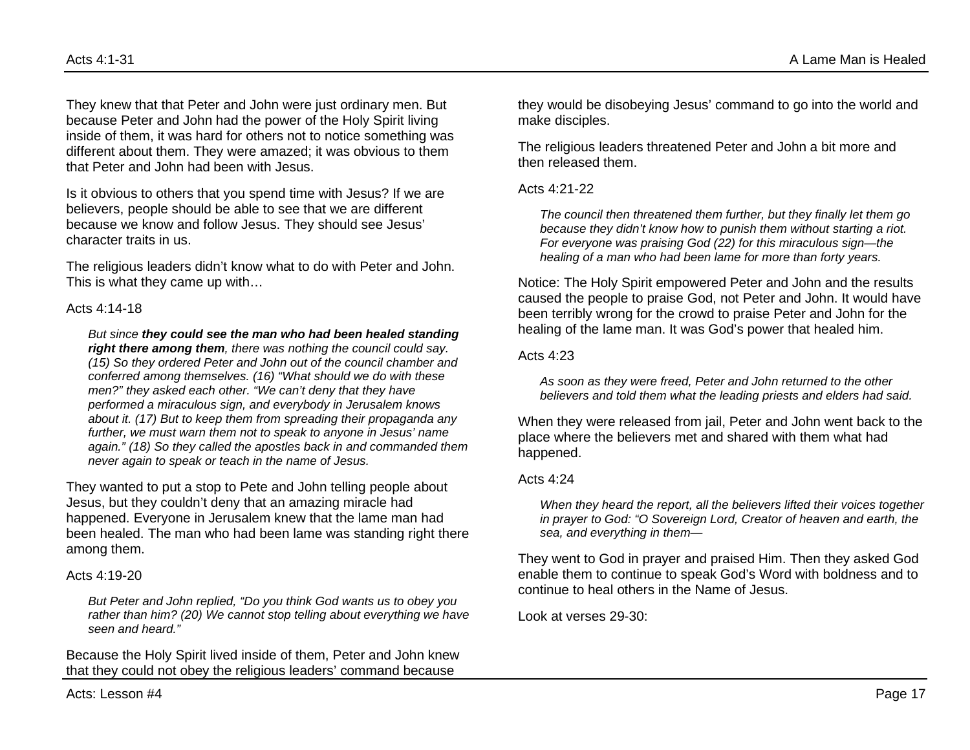They knew that that Peter and John were just ordinary men. But because Peter and John had the power of the Holy Spirit living inside of them, it was hard for others not to notice something was different about them. They were amazed; it was obvious to them that Peter and John had been with Jesus.

Is it obvious to others that you spend time with Jesus? If we are believers, people should be able to see that we are different because we know and follow Jesus. They should see Jesus' character traits in us.

The religious leaders didn't know what to do with Peter and John. This is what they came up with…

#### Acts 4:14-18

*But since they could see the man who had been healed standing right there among them, there was nothing the council could say. (15) So they ordered Peter and John out of the council chamber and conferred among themselves. (16) "What should we do with these men?" they asked each other. "We can't deny that they have performed a miraculous sign, and everybody in Jerusalem knows about it. (17) But to keep them from spreading their propaganda any further, we must warn them not to speak to anyone in Jesus' name again." (18) So they called the apostles back in and commanded them never again to speak or teach in the name of Jesus.*

They wanted to put a stop to Pete and John telling people about Jesus, but they couldn't deny that an amazing miracle had happened. Everyone in Jerusalem knew that the lame man had been healed. The man who had been lame was standing right there among them.

#### Acts 4:19-20

*But Peter and John replied, "Do you think God wants us to obey you rather than him? (20) We cannot stop telling about everything we have seen and heard."*

Because the Holy Spirit lived inside of them, Peter and John knew that they could not obey the religious leaders' command because

they would be disobeying Jesus' command to go into the world and make disciples.

The religious leaders threatened Peter and John a bit more and then released them.

Acts 4:21-22

*The council then threatened them further, but they finally let them go because they didn't know how to punish them without starting a riot. For everyone was praising God (22) for this miraculous sign—the healing of a man who had been lame for more than forty years.*

Notice: The Holy Spirit empowered Peter and John and the results caused the people to praise God, not Peter and John. It would have been terribly wrong for the crowd to praise Peter and John for the healing of the lame man. It was God's power that healed him.

#### Acts 4:23

*As soon as they were freed, Peter and John returned to the other believers and told them what the leading priests and elders had said.*

When they were released from jail, Peter and John went back to the place where the believers met and shared with them what had happened.

#### Acts 4:24

*When they heard the report, all the believers lifted their voices together in prayer to God: "O Sovereign Lord, Creator of heaven and earth, the sea, and everything in them—*

They went to God in prayer and praised Him. Then they asked God enable them to continue to speak God's Word with boldness and to continue to heal others in the Name of Jesus.

Look at verses 29-30: